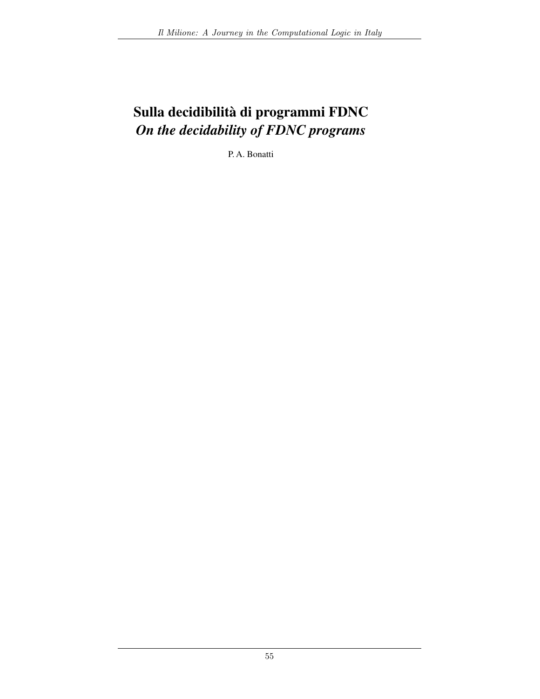# Sulla decidibilità di programmi FDNC On the decidability of FDNC programs

P.A. Bonatti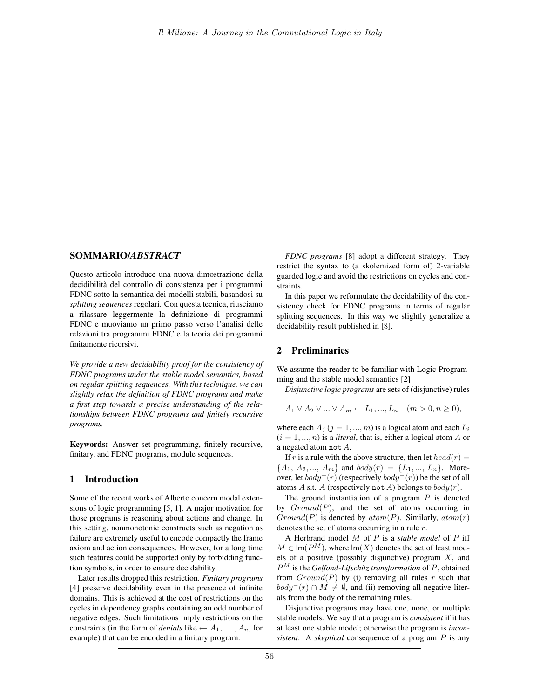### SOMMARIO/ABSTRACT

Questo articolo introduce una nuova dimostrazione della decidibilità del controllo di consistenza per i programmi FDNC sotto la semantica dei modelli stabili, basandosi su splitting sequences regolari. Con questa tecnica, riusciamo a rilassare leggermente la definizione di programmi FDNC e muoviamo un primo passo verso l'analisi delle relazioni tra programmi FDNC e la teoria dei programmi finitamente ricorsivi.

We provide a new decidability proof for the consistency of FDNC programs under the stable model semantics, based on regular splitting sequences. With this technique, we can slightly relax the definition of FDNC programs and make a first step towards a precise understanding of the relationships between FDNC programs and finitely recursive programs.

**Keywords:** Answer set programming, finitely recursive, finitary, and FDNC programs, module sequences.

## 1 Introduction

Some of the recent works of Alberto concern modal extensions of logic programming [5, 1]. A major motivation for those programs is reasoning about actions and change. In this setting, nonmonotonic constructs such as negation as failure are extremely useful to encode compactly the frame axiom and action consequences. However, for a long time such features could be supported only by forbidding function symbols, in order to ensure decidability.

Later results dropped this restriction. Finitary programs [4] preserve decidability even in the presence of infinite domains. This is achieved at the cost of restrictions on the cycles in dependency graphs containing an odd number of negative edges. Such limitations imply restrictions on the constraints (in the form of *denials* like  $\leftarrow A_1, \dots, A_n$ , for example) that can be encoded in a finitary program.

FDNC programs [8] adopt a different strategy. They restrict the syntax to (a skolemized form of) 2-variable guarded logic and avoid the restrictions on cycles and constraints.

In this paper we reformulate the decidability of the consistency check for FDNC programs in terms of regular splitting sequences. In this way we slightly generalize a decidability result published in [8].

# 2 Preliminaries

We assume the reader to be familiar with Logic Programming and the stable model semantics [2]

Disjunctive logic programs are sets of (disjunctive) rules

$$
A_1 \vee A_2 \vee \dots \vee A_m \leftarrow L_1, ..., L_n \quad (m > 0, n \ge 0),
$$

where each  $A_j$  ( $j = 1, ..., m$ ) is a logical atom and each  $L_i$  $(i = 1, ..., n)$  is a *literal*, that is, either a logical atom A or a negated atom not  $A$ .

If r is a rule with the above structure, then let  $head(r)$  =  ${A_1, A_2, ..., A_m}$  and  $body(r) = {L_1, ..., L_n}$ . Moreover, let  $body^+(r)$  (respectively  $body^-(r)$ ) be the set of all atoms A s.t. A (respectively not A) belongs to  $body(r)$ .

The ground instantiation of a program  $P$  is denoted by  $Ground(P)$ , and the set of atoms occurring in  $Ground(P)$  is denoted by  $atom(P)$ . Similarly,  $atom(r)$ denotes the set of atoms occurring in a rule  $r$ .

A Herbrand model  $M$  of  $P$  is a stable model of  $P$  iff  $M \in \text{Im}(P^{M})$ , where  $\text{Im}(X)$  denotes the set of least models of a positive (possibly disjunctive) program  $X$ , and  $P^{M}$  is the Gelfond-Lifschitz transformation of P, obtained from  $Ground(P)$  by (i) removing all rules r such that  $body^-(r) \cap M \neq \emptyset$ , and (ii) removing all negative literals from the body of the remaining rules.

Disjunctive programs may have one, none, or multiple stable models. We say that a program is *consistent* if it has at least one stable model; otherwise the program is *inconsistent.* A *skeptical* consequence of a program  $P$  is any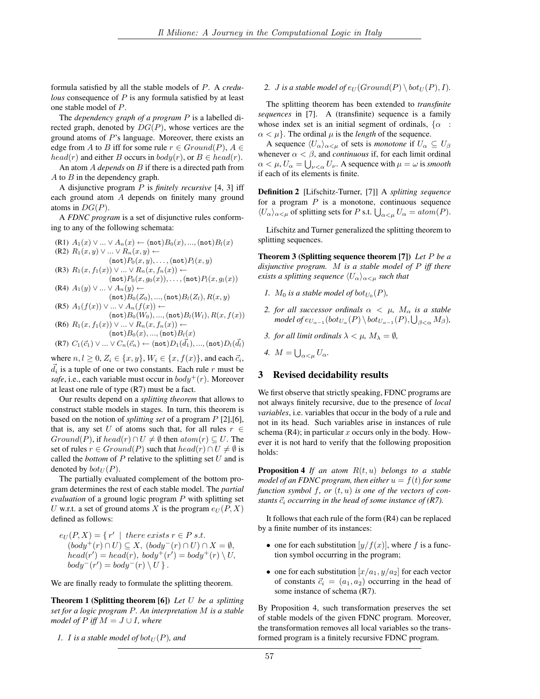formula satisfied by all the stable models of  $P$ . A credu*lous* consequence of  $P$  is any formula satisfied by at least one stable model of P.

The *dependency graph of a program*  $P$  is a labelled directed graph, denoted by  $DG(P)$ , whose vertices are the ground atoms of  $P$ 's language. Moreover, there exists an edge from A to B iff for some rule  $r \in Ground(P)$ ,  $A \in$  $head(r)$  and either B occurs in  $body(r)$ , or  $B \in head(r)$ .

An atom  $A$  depends on  $B$  if there is a directed path from  $A$  to  $B$  in the dependency graph.

A disjunctive program  $P$  is *finitely recursive* [4, 3] iff each ground atom A depends on finitely many ground atoms in  $DG(P)$ .

A FDNC program is a set of disjunctive rules conforming to any of the following schemata:

(R1) 
$$
A_1(x) \vee ... \vee A_n(x) \leftarrow (\text{not})B_0(x), ..., (\text{not})B_l(x)
$$
  
\n(R2)  $R_1(x, y) \vee ... \vee R_n(x, y) \leftarrow$   
\n $(\text{not})P_0(x, y), ..., (\text{not})P_l(x, y)$   
\n(R3)  $R_1(x, f_1(x)) \vee ... \vee R_n(x, f_n(x)) \leftarrow$   
\n $(\text{not})P_0(x, g_0(x)), ..., (\text{not})P_l(x, g_l(x))$   
\n(R4)  $A_1(y) \vee ... \vee A_n(y) \leftarrow$   
\n $(\text{not})B_0(Z_0), ..., (\text{not})B_l(Z_l), R(x, y))$   
\n(R5)  $A_1(f(x)) \vee ... \vee A_n(f(x)) \leftarrow$   
\n $(\text{not})B_n(W_1) \leftarrow$   
\n $(\text{not})B_n(W_2) \leftarrow$ 

(86) 
$$
R_1(x, f_1(x)) \vee \dots \vee R_n(x, f_n(x)) \leftarrow
$$
  
\n(86) 
$$
R_1(x, f_1(x)) \vee \dots \vee R_n(x, f_n(x)) \leftarrow
$$
  
\n(87) 
$$
C_1(\vec{c}_1) \vee \dots \vee C_n(\vec{c}_n) \leftarrow (not)D_1(\vec{d}_1), ..., (not)D_t(\vec{d}_t)
$$

where  $n, l \geq 0$ ,  $Z_i \in \{x, y\}$ ,  $W_i \in \{x, f(x)\}$ , and each  $\vec{c}_i$ ,  $\overrightarrow{d_i}$  is a tuple of one or two constants. Each rule r must be safe, i.e., each variable must occur in  $body^+(r)$ . Moreover at least one rule of type (R7) must be a fact.

Our results depend on a *splitting theorem* that allows to construct stable models in stages. In turn, this theorem is based on the notion of *splitting set* of a program  $P$  [2], [6], that is, any set U of atoms such that, for all rules  $r \in$  $Ground(P)$ , if  $head(r) \cap U \neq \emptyset$  then  $atom(r) \subseteq U$ . The set of rules  $r \in Ground(P)$  such that  $head(r) \cap U \neq \emptyset$  is called the *bottom* of  $P$  relative to the splitting set  $U$  and is denoted by  $bot_U(P)$ .

The partially evaluated complement of the bottom program determines the rest of each stable model. The partial evaluation of a ground logic program  $P$  with splitting set U w.r.t. a set of ground atoms X is the program  $e_U(P, X)$ defined as follows:

$$
e_U(P, X) = \{r' \mid there \ exists \ r \in P \ s.t. \n(body^+(r) \cap U) \subseteq X, (body^-(r) \cap U) \cap X = \emptyset, \nhead(r') = head(r), body^+(r') = body^+(r) \setminus U, \nbody^-(r') = body^-(r) \setminus U \}.
$$

We are finally ready to formulate the splitting theorem.

**Theorem 1 (Splitting theorem [6])** Let  $U$  be a splitting set for a logic program P. An interpretation M is a stable model of P iff  $M = J \cup I$ , where

1. I is a stable model of 
$$
bot_U(P)
$$
, and

2. *J* is a stable model of  $e_U(Ground(P) \setminus bot_U(P), I)$ .

The splitting theorem has been extended to *transfinite sequences* in [7]. A (transfinite) sequence is a family whose index set is an initial segment of ordinals,  $\{\alpha :$  $\alpha < \mu$ . The ordinal  $\mu$  is the *length* of the sequence.

A sequence  $\langle U_{\alpha}\rangle_{\alpha<\mu}$  of sets is *monotone* if  $U_{\alpha}\subseteq U_{\beta}$ whenever  $\alpha < \beta$ , and *continuous* if, for each limit ordinal  $\alpha < \mu$ ,  $U_{\alpha} = \bigcup_{\nu < \alpha} U_{\nu}$ . A sequence with  $\mu = \omega$  is smooth if each of its elements is finite.

Definition 2 [Lifschitz-Turner, [7]] A splitting sequence for a program  $P$  is a monotone, continuous sequence  $\langle U_{\alpha}\rangle_{\alpha<\mu}$  of splitting sets for P s.t.  $\bigcup_{\alpha<\mu}U_{\alpha} = atom(P)$ .

Lifschitz and Turner generalized the splitting theorem to splitting sequences.

**Theorem 3 (Splitting sequence theorem [7])** Let  $P$  be a disjunctive program. M is a stable model of  $P$  iff there exists a splitting sequence  $\langle U_{\alpha}\rangle_{\alpha<\mu}$  such that

- 1.  $M_0$  is a stable model of bot<sub>U<sub>0</sub></sub> $(P)$ ,
- 2. for all successor ordinals  $\alpha < \mu$ ,  $M_{\alpha}$  is a stable model of  $e_{U_{\alpha-1}}(bot_{U_{\alpha}}(P) \setminus bot_{U_{\alpha-1}}(P), \bigcup_{\beta<\alpha} M_{\beta})$ ,
- 3. for all limit ordinals  $\lambda < \mu$ ,  $M_{\lambda} = \emptyset$ ,

4.  $M = \bigcup_{\alpha \leq u} U_{\alpha}$ .

#### $3<sup>1</sup>$ **Revised decidability results**

We first observe that strictly speaking, FDNC programs are not always finitely recursive, due to the presence of local variables, i.e. variables that occur in the body of a rule and not in its head. Such variables arise in instances of rule schema (R4); in particular  $x$  occurs only in the body. However it is not hard to verify that the following proposition holds:

**Proposition 4** If an atom  $R(t, u)$  belongs to a stable model of an FDNC program, then either  $u = f(t)$  for some function symbol f, or  $(t, u)$  is one of the vectors of constants  $\vec{c}_i$  occurring in the head of some instance of (R7).

It follows that each rule of the form (R4) can be replaced by a finite number of its instances:

- one for each substitution  $[y/f(x)]$ , where f is a function symbol occurring in the program;
- one for each substitution  $[x/a_1, y/a_2]$  for each vector of constants  $\vec{c}_i = (a_1, a_2)$  occurring in the head of some instance of schema (R7).

By Proposition 4, such transformation preserves the set of stable models of the given FDNC program. Moreover, the transformation removes all local variables so the transformed program is a finitely recursive FDNC program.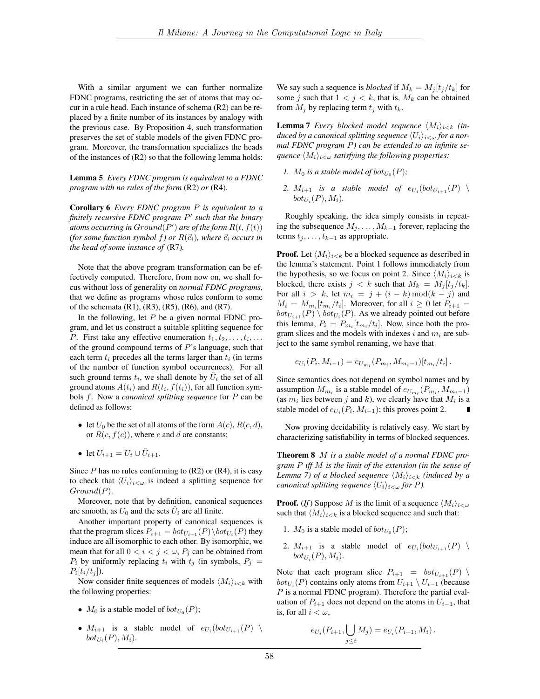With a similar argument we can further normalize FDNC programs, restricting the set of atoms that may occur in a rule head. Each instance of schema (R2) can be replaced by a finite number of its instances by analogy with the previous case. By Proposition 4, such transformation preserves the set of stable models of the given FDNC program. Moreover, the transformation specializes the heads of the instances of  $(R2)$  so that the following lemma holds:

**Lemma 5** Every FDNC program is equivalent to a FDNC program with no rules of the form  $(R2)$  or  $(R4)$ .

Corollary 6 Every FDNC program P is equivalent to a finitely recursive FDNC program  $P'$  such that the binary atoms occurring in  $Ground(P')$  are of the form  $R(t, f(t))$ (for some function symbol f) or  $R(\vec{c}_i)$ , where  $\vec{c}_i$  occurs in the head of some instance of (R7).

Note that the above program transformation can be effectively computed. Therefore, from now on, we shall focus without loss of generality on normal FDNC programs, that we define as programs whose rules conform to some of the schemata  $(R1)$ ,  $(R3)$ ,  $(R5)$ ,  $(R6)$ , and  $(R7)$ .

In the following, let  $P$  be a given normal FDNC program, and let us construct a suitable splitting sequence for P. First take any effective enumeration  $t_1, t_2, \ldots, t_i, \ldots$ of the ground compound terms of  $P$ 's language, such that each term  $t_i$  precedes all the terms larger than  $t_i$  (in terms of the number of function symbol occurrences). For all such ground terms  $t_i$ , we shall denote by  $\hat{U}_i$  the set of all ground atoms  $A(t_i)$  and  $R(t_i, f(t_i))$ , for all function symbols  $f$ . Now a canonical splitting sequence for  $P$  can be defined as follows:

- let  $U_0$  be the set of all atoms of the form  $A(c)$ ,  $R(c, d)$ , or  $R(c, f(c))$ , where c and d are constants;
- let  $U_{i+1} = U_i \cup \hat{U}_{i+1}$ .

Since  $P$  has no rules conforming to (R2) or (R4), it is easy to check that  $\langle U_i \rangle_{i \leq \omega}$  is indeed a splitting sequence for  $Ground(P)$ .

Moreover, note that by definition, canonical sequences are smooth, as  $U_0$  and the sets  $\hat{U}_i$  are all finite.

Another important property of canonical sequences is that the program slices  $P_{i+1} = bot_{U_{i+1}}(P) \backslash bot_{U_i}(P)$  they induce are all isomorphic to each other. By isomorphic, we mean that for all  $0 < i < j < \omega$ ,  $P_j$  can be obtained from  $P_i$  by uniformly replacing  $t_i$  with  $t_j$  (in symbols,  $P_j =$  $P_i[t_i/t_j]).$ 

Now consider finite sequences of models  $\langle M_i \rangle_{i \leq k}$  with the following properties:

- $M_0$  is a stable model of  $bot_{U_0}(P)$ ;
- $M_{i+1}$  is a stable model of  $e_{U_i}(bot_{U_{i+1}}(P)$  $bot_{U_i}(P), M_i).$

We say such a sequence is *blocked* if  $M_k = M_i[t_i/t_k]$  for some j such that  $1 < j < k$ , that is,  $M_k$  can be obtained from  $M_i$  by replacing term  $t_i$  with  $t_k$ .

**Lemma 7** Every blocked model sequence  $\langle M_i \rangle_{i \leq k}$  (induced by a canonical splitting sequence  $\langle U_i \rangle_{i<\omega}$  for a normal FDNC program P) can be extended to an infinite sequence  $\langle M_i \rangle_{i<\omega}$  satisfying the following properties:

- 1.  $M_0$  is a stable model of bot<sub>U<sub>0</sub></sub> $(P)$ ;
- 2.  $M_{i+1}$  is a stable model of  $e_{U_i}(bot_{U_{i+1}}(P)$  $bot_{U_i}(P), M_i$ ).

Roughly speaking, the idea simply consists in repeating the subsequence  $M_j, \ldots, M_{k-1}$  forever, replacing the terms  $t_j, \ldots, t_{k-1}$  as appropriate.

**Proof.** Let  $\langle M_i \rangle_{i \le k}$  be a blocked sequence as described in the lemma's statement. Point 1 follows immediately from the hypothesis, so we focus on point 2. Since  $\langle M_i \rangle_{i \leq k}$  is blocked, there exists  $j < k$  such that  $M_k = M_i[t_i/t_k]$ . For all  $i > k$ , let  $m_i = j + (i - k) \bmod(k - j)$  and  $M_i = M_{m_i}[t_{m_i}/t_i]$ . Moreover, for all  $i \geq 0$  let  $P_{i+1} =$  $bot_{U_{i+1}}(P) \setminus bot_{U_i}(P)$ . As we already pointed out before this lemma,  $P_i = P_{m_i}[t_{m_i}/t_i]$ . Now, since both the program slices and the models with indexes i and  $m_i$  are subject to the same symbol renaming, we have that

$$
e_{U_i}(P_i, M_{i-1}) = e_{U_{m_i}}(P_{m_i}, M_{m_i-1})[t_{m_i}/t_i].
$$

Since semantics does not depend on symbol names and by assumption  $M_{m_i}$  is a stable model of  $e_{U_{m_i}}(P_{m_i}, M_{m_i-1})$ (as  $m_i$  lies between j and k), we clearly have that  $M_i$  is a stable model of  $e_{U_i}(P_i, M_{i-1})$ ; this proves point 2.

Now proving decidability is relatively easy. We start by characterizing satisfiability in terms of blocked sequences.

**Theorem 8**  $M$  is a stable model of a normal FDNC program  $P$  iff  $M$  is the limit of the extension (in the sense of Lemma 7) of a blocked sequence  $\langle M_i \rangle_{i \leq k}$  (induced by a canonical splitting sequence  $\langle U_i \rangle_{i < \omega}$  for P).

**Proof.** (If) Suppose M is the limit of a sequence  $\langle M_i \rangle_{i \leq \omega}$ such that  $\langle M_i \rangle_{i \leq k}$  is a blocked sequence and such that:

- 1.  $M_0$  is a stable model of  $bot_{U_0}(P)$ ;
- 2.  $M_{i+1}$  is a stable model of  $e_{U_i}(bot_{U_{i+1}}(P)$  $bot_{U_i}(P), M_i$ ).

Note that each program slice  $P_{i+1} = bot_{U_{i+1}}(P)$  $bot_{U_i}(P)$  contains only atoms from  $U_{i+1} \setminus U_{i-1}$  (because  $P$  is a normal FDNC program). Therefore the partial evaluation of  $P_{i+1}$  does not depend on the atoms in  $U_{i-1}$ , that is, for all  $i < \omega$ ,

$$
e_{U_i}(P_{i+1}, \bigcup_{j \leq i} M_j) = e_{U_i}(P_{i+1}, M_i).
$$